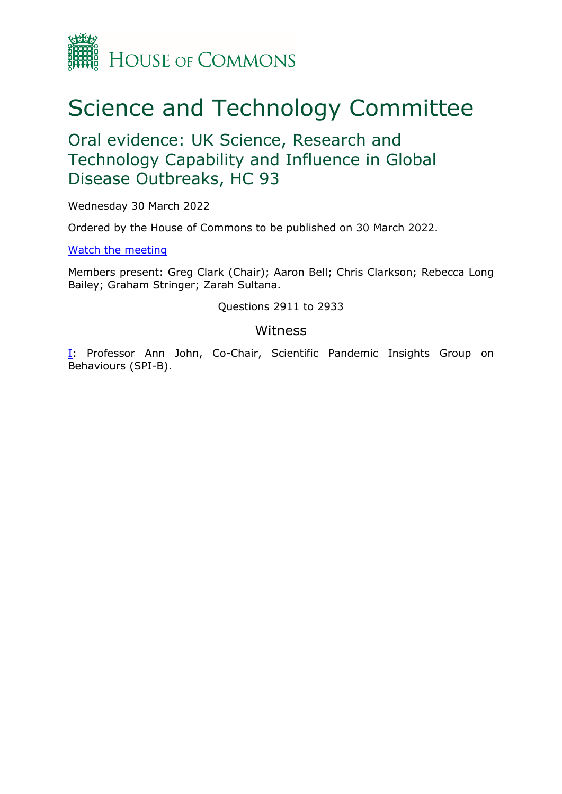

## Science and Technology Committee

Oral evidence: UK Science, Research and Technology Capability and Influence in Global Disease Outbreaks, HC 93

Wednesday 30 March 2022

Ordered by the House of Commons to be published on 30 March 2022.

[Watch](https://parliamentlive.tv/Event/Index/6ac9f194-ec58-469a-bd19-72f388a9dc66) [the](https://parliamentlive.tv/Event/Index/6ac9f194-ec58-469a-bd19-72f388a9dc66) [meeting](https://parliamentlive.tv/Event/Index/6ac9f194-ec58-469a-bd19-72f388a9dc66)

Members present: Greg Clark (Chair); Aaron Bell; Chris Clarkson; Rebecca Long Bailey; Graham Stringer; Zarah Sultana.

Questions 2911 to 2933

## **Witness**

[I:](#page-1-0) Professor Ann John, Co-Chair, Scientific Pandemic Insights Group on Behaviours (SPI-B).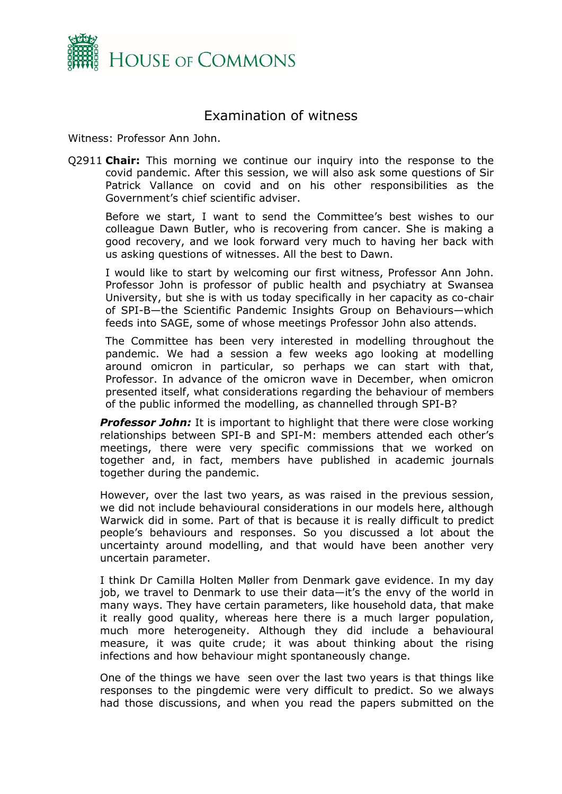

## <span id="page-1-0"></span>Examination of witness

Witness: Professor Ann John.

Q2911 **Chair:** This morning we continue our inquiry into the response to the covid pandemic. After this session, we will also ask some questions of Sir Patrick Vallance on covid and on his other responsibilities as the Government's chief scientific adviser.

Before we start, I want to send the Committee's best wishes to our colleague Dawn Butler, who is recovering from cancer. She is making a good recovery, and we look forward very much to having her back with us asking questions of witnesses. All the best to Dawn.

I would like to start by welcoming our first witness, Professor Ann John. Professor John is professor of public health and psychiatry at Swansea University, but she is with us today specifically in her capacity as co-chair of SPI-B—the Scientific Pandemic Insights Group on Behaviours—which feeds into SAGE, some of whose meetings Professor John also attends.

The Committee has been very interested in modelling throughout the pandemic. We had a session a few weeks ago looking at modelling around omicron in particular, so perhaps we can start with that, Professor. In advance of the omicron wave in December, when omicron presented itself, what considerations regarding the behaviour of members of the public informed the modelling, as channelled through SPI-B?

*Professor John:* It is important to highlight that there were close working relationships between SPI-B and SPI-M: members attended each other's meetings, there were very specific commissions that we worked on together and, in fact, members have published in academic journals together during the pandemic.

However, over the last two years, as was raised in the previous session, we did not include behavioural considerations in our models here, although Warwick did in some. Part of that is because it is really difficult to predict people's behaviours and responses. So you discussed a lot about the uncertainty around modelling, and that would have been another very uncertain parameter.

I think Dr Camilla Holten Møller from Denmark gave evidence. In my day job, we travel to Denmark to use their data—it's the envy of the world in many ways. They have certain parameters, like household data, that make it really good quality, whereas here there is a much larger population, much more heterogeneity. Although they did include a behavioural measure, it was quite crude; it was about thinking about the rising infections and how behaviour might spontaneously change.

One of the things we have seen over the last two years is that things like responses to the pingdemic were very difficult to predict. So we always had those discussions, and when you read the papers submitted on the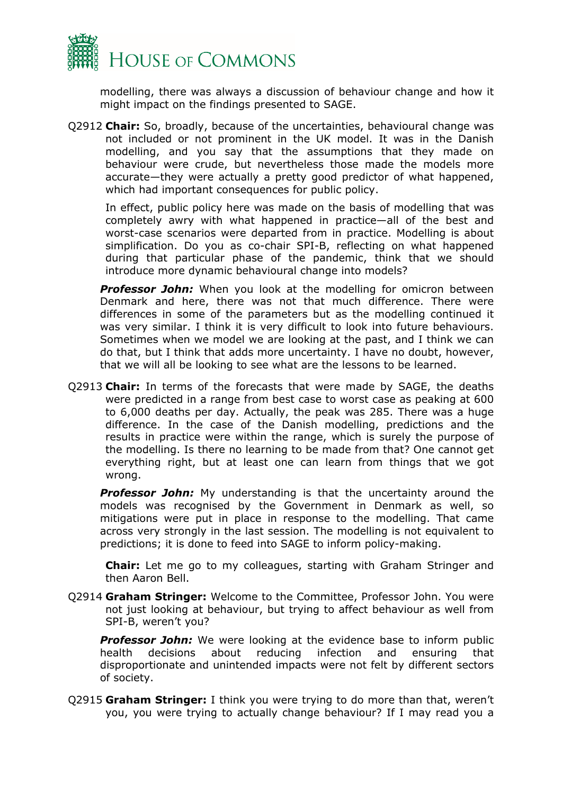

modelling, there was always a discussion of behaviour change and how it might impact on the findings presented to SAGE.

Q2912 **Chair:** So, broadly, because of the uncertainties, behavioural change was not included or not prominent in the UK model. It was in the Danish modelling, and you say that the assumptions that they made on behaviour were crude, but nevertheless those made the models more accurate—they were actually a pretty good predictor of what happened, which had important consequences for public policy.

In effect, public policy here was made on the basis of modelling that was completely awry with what happened in practice—all of the best and worst-case scenarios were departed from in practice. Modelling is about simplification. Do you as co-chair SPI-B, reflecting on what happened during that particular phase of the pandemic, think that we should introduce more dynamic behavioural change into models?

**Professor John:** When you look at the modelling for omicron between Denmark and here, there was not that much difference. There were differences in some of the parameters but as the modelling continued it was very similar. I think it is very difficult to look into future behaviours. Sometimes when we model we are looking at the past, and I think we can do that, but I think that adds more uncertainty. I have no doubt, however, that we will all be looking to see what are the lessons to be learned.

Q2913 **Chair:** In terms of the forecasts that were made by SAGE, the deaths were predicted in a range from best case to worst case as peaking at 600 to 6,000 deaths per day. Actually, the peak was 285. There was a huge difference. In the case of the Danish modelling, predictions and the results in practice were within the range, which is surely the purpose of the modelling. Is there no learning to be made from that? One cannot get everything right, but at least one can learn from things that we got wrong.

**Professor John:** My understanding is that the uncertainty around the models was recognised by the Government in Denmark as well, so mitigations were put in place in response to the modelling. That came across very strongly in the last session. The modelling is not equivalent to predictions; it is done to feed into SAGE to inform policy-making.

**Chair:** Let me go to my colleagues, starting with Graham Stringer and then Aaron Bell.

Q2914 **Graham Stringer:** Welcome to the Committee, Professor John. You were not just looking at behaviour, but trying to affect behaviour as well from SPI-B, weren't you?

**Professor John:** We were looking at the evidence base to inform public health decisions about reducing infection and ensuring that disproportionate and unintended impacts were not felt by different sectors of society.

Q2915 **Graham Stringer:** I think you were trying to do more than that, weren't you, you were trying to actually change behaviour? If I may read you a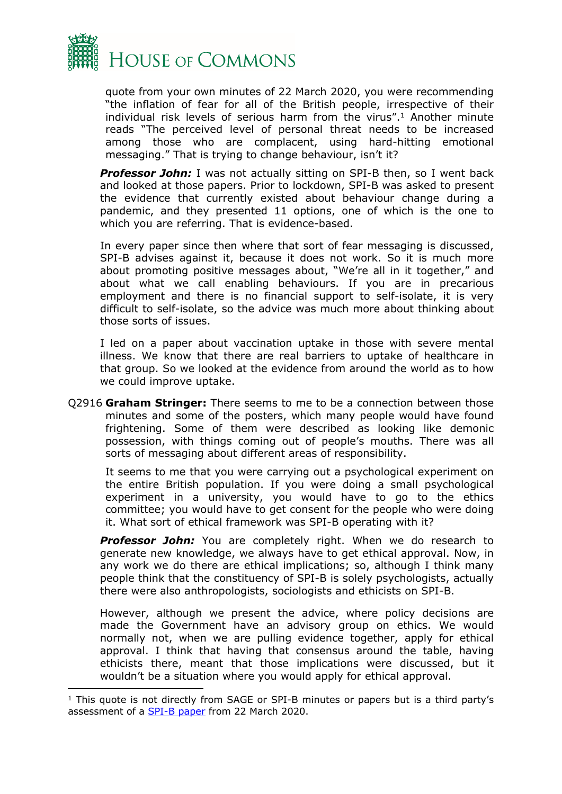

quote from your own minutes of 22 March 2020, you were recommending "the inflation of fear for all of the British people, irrespective of their individual risk levels of serious harm from the virus".<sup>1</sup> Another minute reads "The perceived level of personal threat needs to be increased among those who are complacent, using hard-hitting emotional messaging." That is trying to change behaviour, isn't it?

*Professor John:* I was not actually sitting on SPI-B then, so I went back and looked at those papers. Prior to lockdown, SPI-B was asked to present the evidence that currently existed about behaviour change during a pandemic, and they presented 11 options, one of which is the one to which you are referring. That is evidence-based.

In every paper since then where that sort of fear messaging is discussed, SPI-B advises against it, because it does not work. So it is much more about promoting positive messages about, "We're all in it together," and about what we call enabling behaviours. If you are in precarious employment and there is no financial support to self-isolate, it is very difficult to self-isolate, so the advice was much more about thinking about those sorts of issues.

I led on a paper about vaccination uptake in those with severe mental illness. We know that there are real barriers to uptake of healthcare in that group. So we looked at the evidence from around the world as to how we could improve uptake.

Q2916 **Graham Stringer:** There seems to me to be a connection between those minutes and some of the posters, which many people would have found frightening. Some of them were described as looking like demonic possession, with things coming out of people's mouths. There was all sorts of messaging about different areas of responsibility.

It seems to me that you were carrying out a psychological experiment on the entire British population. If you were doing a small psychological experiment in a university, you would have to go to the ethics committee; you would have to get consent for the people who were doing it. What sort of ethical framework was SPI-B operating with it?

**Professor John:** You are completely right. When we do research to generate new knowledge, we always have to get ethical approval. Now, in any work we do there are ethical implications; so, although I think many people think that the constituency of SPI-B is solely psychologists, actually there were also anthropologists, sociologists and ethicists on SPI-B.

However, although we present the advice, where policy decisions are made the Government have an advisory group on ethics. We would normally not, when we are pulling evidence together, apply for ethical approval. I think that having that consensus around the table, having ethicists there, meant that those implications were discussed, but it wouldn't be a situation where you would apply for ethical approval.

<sup>&</sup>lt;sup>1</sup> This quote is not directly from SAGE or SPI-B minutes or papers but is a third party's assessment of a [SPI-B](https://assets.publishing.service.gov.uk/government/uploads/system/uploads/attachment_data/file/887467/25-options-for-increasing-adherence-to-social-distancing-measures-22032020.pdf) [paper](https://assets.publishing.service.gov.uk/government/uploads/system/uploads/attachment_data/file/887467/25-options-for-increasing-adherence-to-social-distancing-measures-22032020.pdf) from 22 March 2020.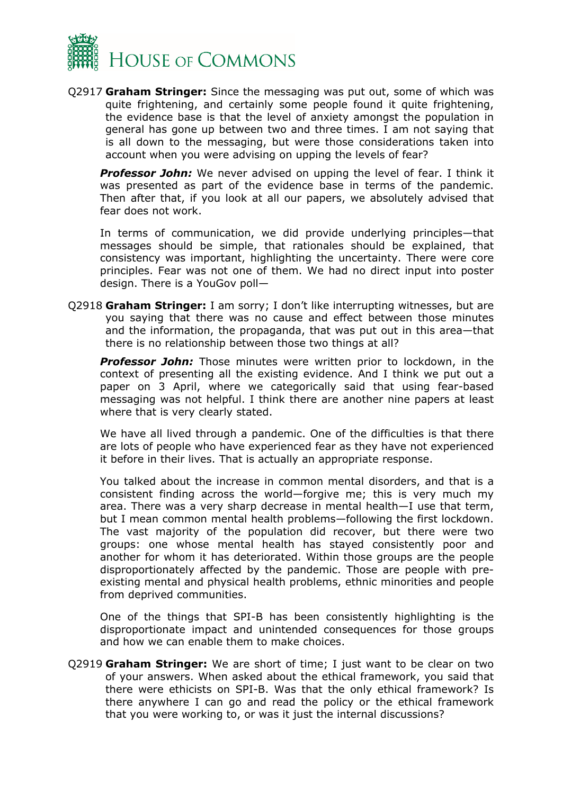

Q2917 **Graham Stringer:** Since the messaging was put out, some of which was quite frightening, and certainly some people found it quite frightening, the evidence base is that the level of anxiety amongst the population in general has gone up between two and three times. I am not saying that is all down to the messaging, but were those considerations taken into account when you were advising on upping the levels of fear?

*Professor John:* We never advised on upping the level of fear. I think it was presented as part of the evidence base in terms of the pandemic. Then after that, if you look at all our papers, we absolutely advised that fear does not work.

In terms of communication, we did provide underlying principles—that messages should be simple, that rationales should be explained, that consistency was important, highlighting the uncertainty. There were core principles. Fear was not one of them. We had no direct input into poster design. There is a YouGov poll—

Q2918 **Graham Stringer:** I am sorry; I don't like interrupting witnesses, but are you saying that there was no cause and effect between those minutes and the information, the propaganda, that was put out in this area—that there is no relationship between those two things at all?

*Professor John:* Those minutes were written prior to lockdown, in the context of presenting all the existing evidence. And I think we put out a paper on 3 April, where we categorically said that using fear-based messaging was not helpful. I think there are another nine papers at least where that is very clearly stated.

We have all lived through a pandemic. One of the difficulties is that there are lots of people who have experienced fear as they have not experienced it before in their lives. That is actually an appropriate response.

You talked about the increase in common mental disorders, and that is a consistent finding across the world—forgive me; this is very much my area. There was a very sharp decrease in mental health—I use that term, but I mean common mental health problems—following the first lockdown. The vast majority of the population did recover, but there were two groups: one whose mental health has stayed consistently poor and another for whom it has deteriorated. Within those groups are the people disproportionately affected by the pandemic. Those are people with preexisting mental and physical health problems, ethnic minorities and people from deprived communities.

One of the things that SPI-B has been consistently highlighting is the disproportionate impact and unintended consequences for those groups and how we can enable them to make choices.

Q2919 **Graham Stringer:** We are short of time; I just want to be clear on two of your answers. When asked about the ethical framework, you said that there were ethicists on SPI-B. Was that the only ethical framework? Is there anywhere I can go and read the policy or the ethical framework that you were working to, or was it just the internal discussions?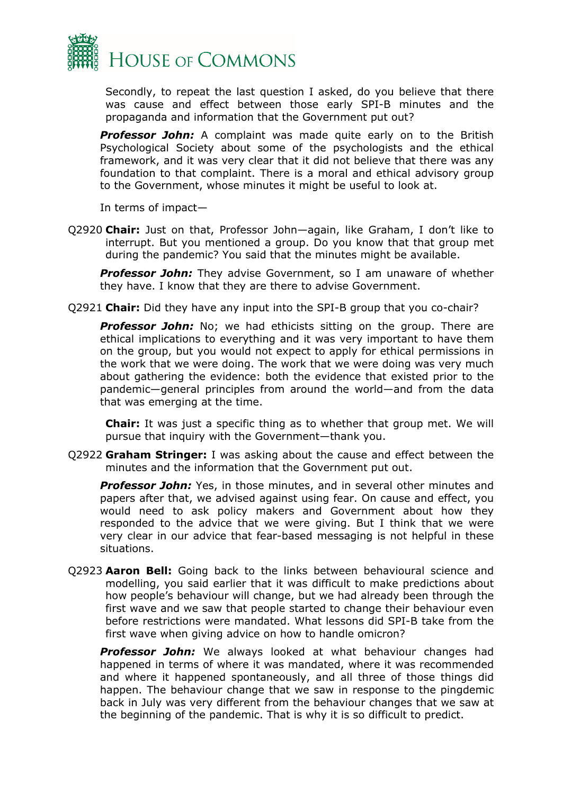

Secondly, to repeat the last question I asked, do you believe that there was cause and effect between those early SPI-B minutes and the propaganda and information that the Government put out?

**Professor John:** A complaint was made quite early on to the British Psychological Society about some of the psychologists and the ethical framework, and it was very clear that it did not believe that there was any foundation to that complaint. There is a moral and ethical advisory group to the Government, whose minutes it might be useful to look at.

In terms of impact—

Q2920 **Chair:** Just on that, Professor John—again, like Graham, I don't like to interrupt. But you mentioned a group. Do you know that that group met during the pandemic? You said that the minutes might be available.

**Professor John:** They advise Government, so I am unaware of whether they have. I know that they are there to advise Government.

Q2921 **Chair:** Did they have any input into the SPI-B group that you co-chair?

**Professor John:** No; we had ethicists sitting on the group. There are ethical implications to everything and it was very important to have them on the group, but you would not expect to apply for ethical permissions in the work that we were doing. The work that we were doing was very much about gathering the evidence: both the evidence that existed prior to the pandemic—general principles from around the world—and from the data that was emerging at the time.

**Chair:** It was just a specific thing as to whether that group met. We will pursue that inquiry with the Government—thank you.

Q2922 **Graham Stringer:** I was asking about the cause and effect between the minutes and the information that the Government put out.

*Professor John:* Yes, in those minutes, and in several other minutes and papers after that, we advised against using fear. On cause and effect, you would need to ask policy makers and Government about how they responded to the advice that we were giving. But I think that we were very clear in our advice that fear-based messaging is not helpful in these situations.

Q2923 **Aaron Bell:** Going back to the links between behavioural science and modelling, you said earlier that it was difficult to make predictions about how people's behaviour will change, but we had already been through the first wave and we saw that people started to change their behaviour even before restrictions were mandated. What lessons did SPI-B take from the first wave when giving advice on how to handle omicron?

*Professor John:* We always looked at what behaviour changes had happened in terms of where it was mandated, where it was recommended and where it happened spontaneously, and all three of those things did happen. The behaviour change that we saw in response to the pingdemic back in July was very different from the behaviour changes that we saw at the beginning of the pandemic. That is why it is so difficult to predict.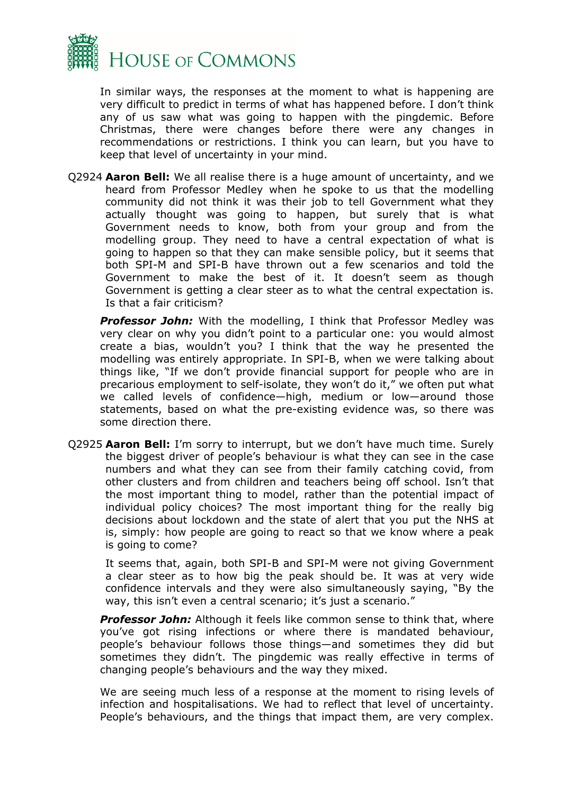

In similar ways, the responses at the moment to what is happening are very difficult to predict in terms of what has happened before. I don't think any of us saw what was going to happen with the pingdemic. Before Christmas, there were changes before there were any changes in recommendations or restrictions. I think you can learn, but you have to keep that level of uncertainty in your mind.

Q2924 **Aaron Bell:** We all realise there is a huge amount of uncertainty, and we heard from Professor Medley when he spoke to us that the modelling community did not think it was their job to tell Government what they actually thought was going to happen, but surely that is what Government needs to know, both from your group and from the modelling group. They need to have a central expectation of what is going to happen so that they can make sensible policy, but it seems that both SPI-M and SPI-B have thrown out a few scenarios and told the Government to make the best of it. It doesn't seem as though Government is getting a clear steer as to what the central expectation is. Is that a fair criticism?

**Professor John:** With the modelling, I think that Professor Medley was very clear on why you didn't point to a particular one: you would almost create a bias, wouldn't you? I think that the way he presented the modelling was entirely appropriate. In SPI-B, when we were talking about things like, "If we don't provide financial support for people who are in precarious employment to self-isolate, they won't do it," we often put what we called levels of confidence—high, medium or low—around those statements, based on what the pre-existing evidence was, so there was some direction there.

Q2925 **Aaron Bell:** I'm sorry to interrupt, but we don't have much time. Surely the biggest driver of people's behaviour is what they can see in the case numbers and what they can see from their family catching covid, from other clusters and from children and teachers being off school. Isn't that the most important thing to model, rather than the potential impact of individual policy choices? The most important thing for the really big decisions about lockdown and the state of alert that you put the NHS at is, simply: how people are going to react so that we know where a peak is going to come?

It seems that, again, both SPI-B and SPI-M were not giving Government a clear steer as to how big the peak should be. It was at very wide confidence intervals and they were also simultaneously saying, "By the way, this isn't even a central scenario; it's just a scenario."

*Professor John:* Although it feels like common sense to think that, where you've got rising infections or where there is mandated behaviour, people's behaviour follows those things—and sometimes they did but sometimes they didn't. The pingdemic was really effective in terms of changing people's behaviours and the way they mixed.

We are seeing much less of a response at the moment to rising levels of infection and hospitalisations. We had to reflect that level of uncertainty. People's behaviours, and the things that impact them, are very complex.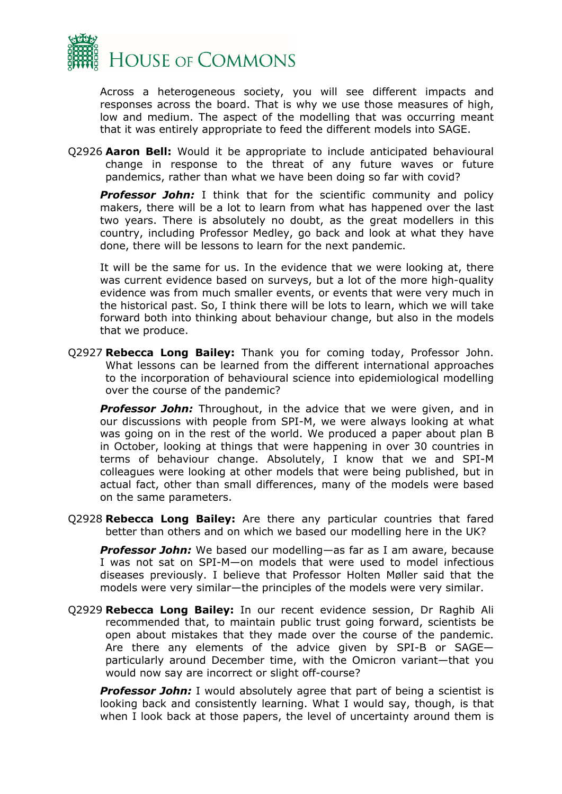

Across a heterogeneous society, you will see different impacts and responses across the board. That is why we use those measures of high, low and medium. The aspect of the modelling that was occurring meant that it was entirely appropriate to feed the different models into SAGE.

Q2926 **Aaron Bell:** Would it be appropriate to include anticipated behavioural change in response to the threat of any future waves or future pandemics, rather than what we have been doing so far with covid?

*Professor John:* I think that for the scientific community and policy makers, there will be a lot to learn from what has happened over the last two years. There is absolutely no doubt, as the great modellers in this country, including Professor Medley, go back and look at what they have done, there will be lessons to learn for the next pandemic.

It will be the same for us. In the evidence that we were looking at, there was current evidence based on surveys, but a lot of the more high-quality evidence was from much smaller events, or events that were very much in the historical past. So, I think there will be lots to learn, which we will take forward both into thinking about behaviour change, but also in the models that we produce.

Q2927 **Rebecca Long Bailey:** Thank you for coming today, Professor John. What lessons can be learned from the different international approaches to the incorporation of behavioural science into epidemiological modelling over the course of the pandemic?

**Professor John:** Throughout, in the advice that we were given, and in our discussions with people from SPI-M, we were always looking at what was going on in the rest of the world. We produced a paper about plan B in October, looking at things that were happening in over 30 countries in terms of behaviour change. Absolutely, I know that we and SPI-M colleagues were looking at other models that were being published, but in actual fact, other than small differences, many of the models were based on the same parameters.

Q2928 **Rebecca Long Bailey:** Are there any particular countries that fared better than others and on which we based our modelling here in the UK?

*Professor John:* We based our modelling—as far as I am aware, because I was not sat on SPI-M—on models that were used to model infectious diseases previously. I believe that Professor Holten Møller said that the models were very similar—the principles of the models were very similar.

Q2929 **Rebecca Long Bailey:** In our recent evidence session, Dr Raghib Ali recommended that, to maintain public trust going forward, scientists be open about mistakes that they made over the course of the pandemic. Are there any elements of the advice given by SPI-B or SAGE particularly around December time, with the Omicron variant—that you would now say are incorrect or slight off-course?

**Professor John:** I would absolutely agree that part of being a scientist is looking back and consistently learning. What I would say, though, is that when I look back at those papers, the level of uncertainty around them is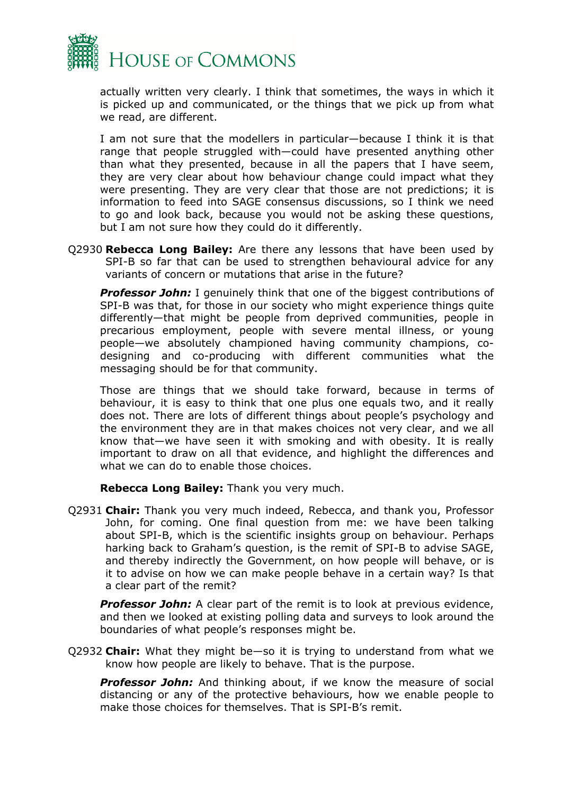

actually written very clearly. I think that sometimes, the ways in which it is picked up and communicated, or the things that we pick up from what we read, are different.

I am not sure that the modellers in particular—because I think it is that range that people struggled with—could have presented anything other than what they presented, because in all the papers that I have seem, they are very clear about how behaviour change could impact what they were presenting. They are very clear that those are not predictions; it is information to feed into SAGE consensus discussions, so I think we need to go and look back, because you would not be asking these questions, but I am not sure how they could do it differently.

Q2930 **Rebecca Long Bailey:** Are there any lessons that have been used by SPI-B so far that can be used to strengthen behavioural advice for any variants of concern or mutations that arise in the future?

*Professor John:* I genuinely think that one of the biggest contributions of SPI-B was that, for those in our society who might experience things quite differently—that might be people from deprived communities, people in precarious employment, people with severe mental illness, or young people—we absolutely championed having community champions, codesigning and co-producing with different communities what the messaging should be for that community.

Those are things that we should take forward, because in terms of behaviour, it is easy to think that one plus one equals two, and it really does not. There are lots of different things about people's psychology and the environment they are in that makes choices not very clear, and we all know that—we have seen it with smoking and with obesity. It is really important to draw on all that evidence, and highlight the differences and what we can do to enable those choices.

**Rebecca Long Bailey:** Thank you very much.

Q2931 **Chair:** Thank you very much indeed, Rebecca, and thank you, Professor John, for coming. One final question from me: we have been talking about SPI-B, which is the scientific insights group on behaviour. Perhaps harking back to Graham's question, is the remit of SPI-B to advise SAGE, and thereby indirectly the Government, on how people will behave, or is it to advise on how we can make people behave in a certain way? Is that a clear part of the remit?

*Professor John:* A clear part of the remit is to look at previous evidence, and then we looked at existing polling data and surveys to look around the boundaries of what people's responses might be.

Q2932 **Chair:** What they might be—so it is trying to understand from what we know how people are likely to behave. That is the purpose.

**Professor John:** And thinking about, if we know the measure of social distancing or any of the protective behaviours, how we enable people to make those choices for themselves. That is SPI-B's remit.